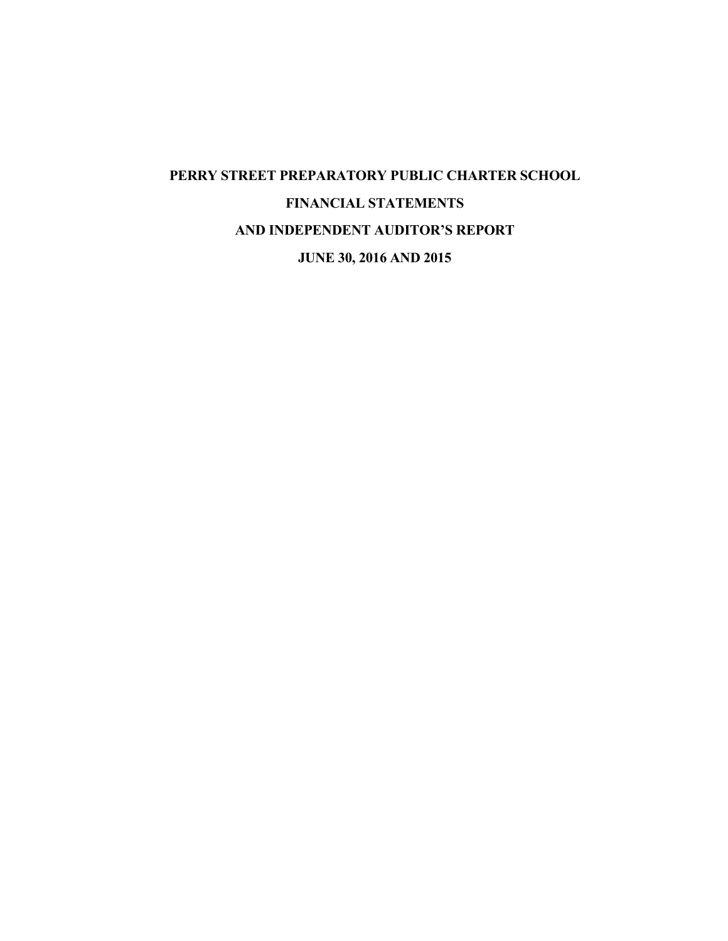# **PERRY STREET PREPARATORY PUBLIC CHARTER SCHOOL FINANCIAL STATEMENTS AND INDEPENDENT AUDITOR'S REPORT JUNE 30, 2016 AND 2015**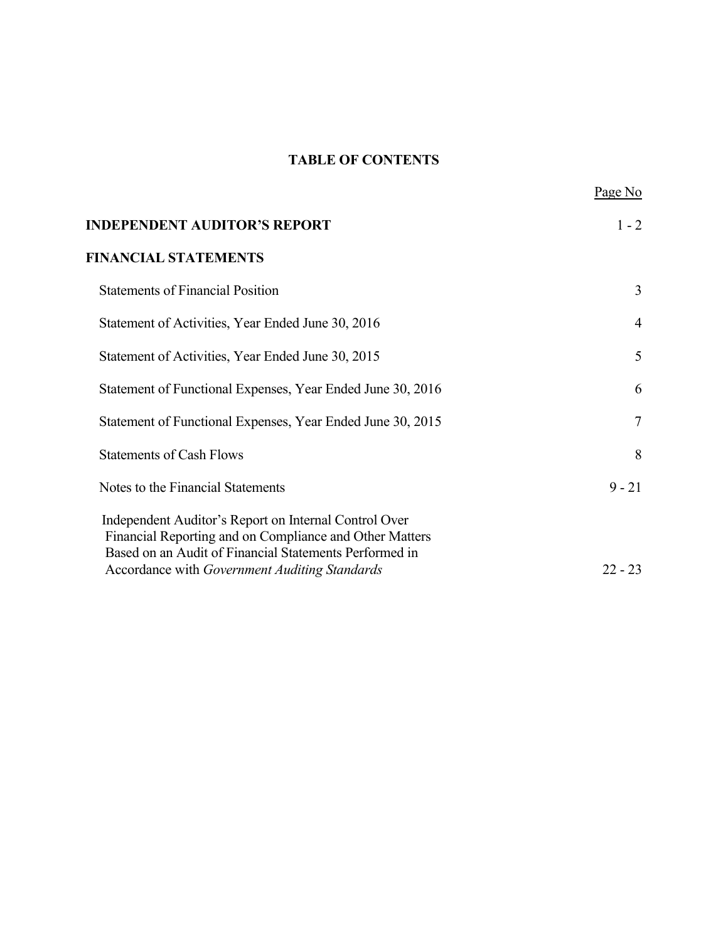# **TABLE OF CONTENTS**

|                                                                                                                                                                                                                             | Page No        |
|-----------------------------------------------------------------------------------------------------------------------------------------------------------------------------------------------------------------------------|----------------|
| <b>INDEPENDENT AUDITOR'S REPORT</b>                                                                                                                                                                                         | $1 - 2$        |
| <b>FINANCIAL STATEMENTS</b>                                                                                                                                                                                                 |                |
| <b>Statements of Financial Position</b>                                                                                                                                                                                     | 3              |
| Statement of Activities, Year Ended June 30, 2016                                                                                                                                                                           | $\overline{4}$ |
| Statement of Activities, Year Ended June 30, 2015                                                                                                                                                                           | 5              |
| Statement of Functional Expenses, Year Ended June 30, 2016                                                                                                                                                                  | 6              |
| Statement of Functional Expenses, Year Ended June 30, 2015                                                                                                                                                                  | $\overline{7}$ |
| <b>Statements of Cash Flows</b>                                                                                                                                                                                             | 8              |
| Notes to the Financial Statements                                                                                                                                                                                           | $9 - 21$       |
| Independent Auditor's Report on Internal Control Over<br>Financial Reporting and on Compliance and Other Matters<br>Based on an Audit of Financial Statements Performed in<br>Accordance with Government Auditing Standards | $22 - 23$      |
|                                                                                                                                                                                                                             |                |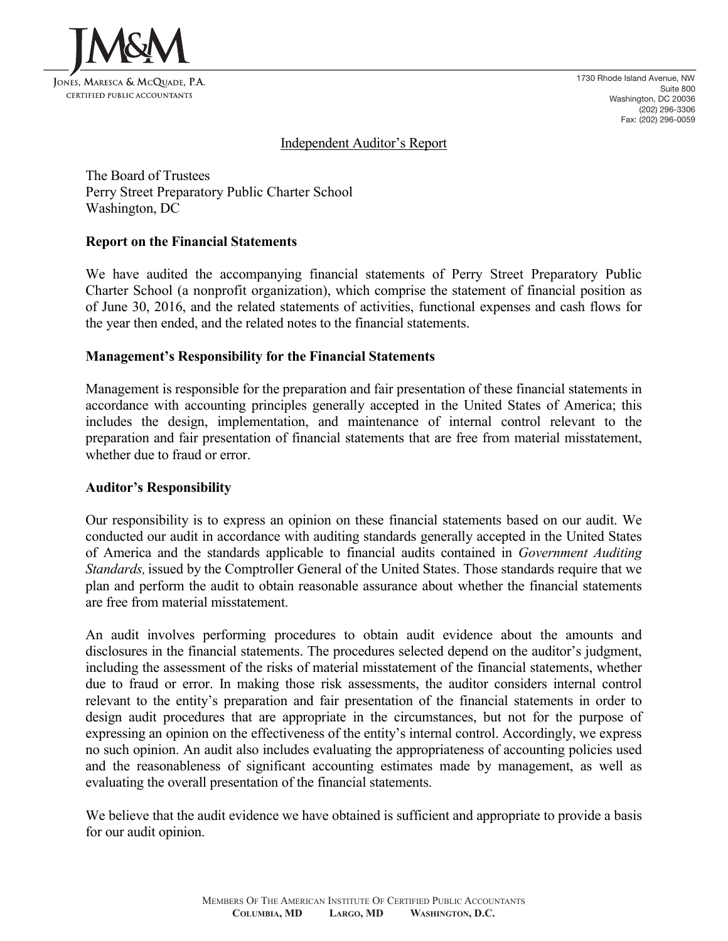

1730 Rhode Island Avenue, NW Suite 800 Washington, DC 20036 (202) 296-3306 Fax: (202) 296-0059

#### Independent Auditor's Report

The Board of Trustees Perry Street Preparatory Public Charter School Washington, DC

#### **Report on the Financial Statements**

We have audited the accompanying financial statements of Perry Street Preparatory Public Charter School (a nonprofit organization), which comprise the statement of financial position as of June 30, 2016, and the related statements of activities, functional expenses and cash flows for the year then ended, and the related notes to the financial statements.

#### **Management's Responsibility for the Financial Statements**

Management is responsible for the preparation and fair presentation of these financial statements in accordance with accounting principles generally accepted in the United States of America; this includes the design, implementation, and maintenance of internal control relevant to the preparation and fair presentation of financial statements that are free from material misstatement, whether due to fraud or error.

#### **Auditor's Responsibility**

Our responsibility is to express an opinion on these financial statements based on our audit. We conducted our audit in accordance with auditing standards generally accepted in the United States of America and the standards applicable to financial audits contained in *Government Auditing Standards,* issued by the Comptroller General of the United States. Those standards require that we plan and perform the audit to obtain reasonable assurance about whether the financial statements are free from material misstatement.

An audit involves performing procedures to obtain audit evidence about the amounts and disclosures in the financial statements. The procedures selected depend on the auditor's judgment, including the assessment of the risks of material misstatement of the financial statements, whether due to fraud or error. In making those risk assessments, the auditor considers internal control relevant to the entity's preparation and fair presentation of the financial statements in order to design audit procedures that are appropriate in the circumstances, but not for the purpose of expressing an opinion on the effectiveness of the entity's internal control. Accordingly, we express no such opinion. An audit also includes evaluating the appropriateness of accounting policies used and the reasonableness of significant accounting estimates made by management, as well as evaluating the overall presentation of the financial statements.

We believe that the audit evidence we have obtained is sufficient and appropriate to provide a basis for our audit opinion.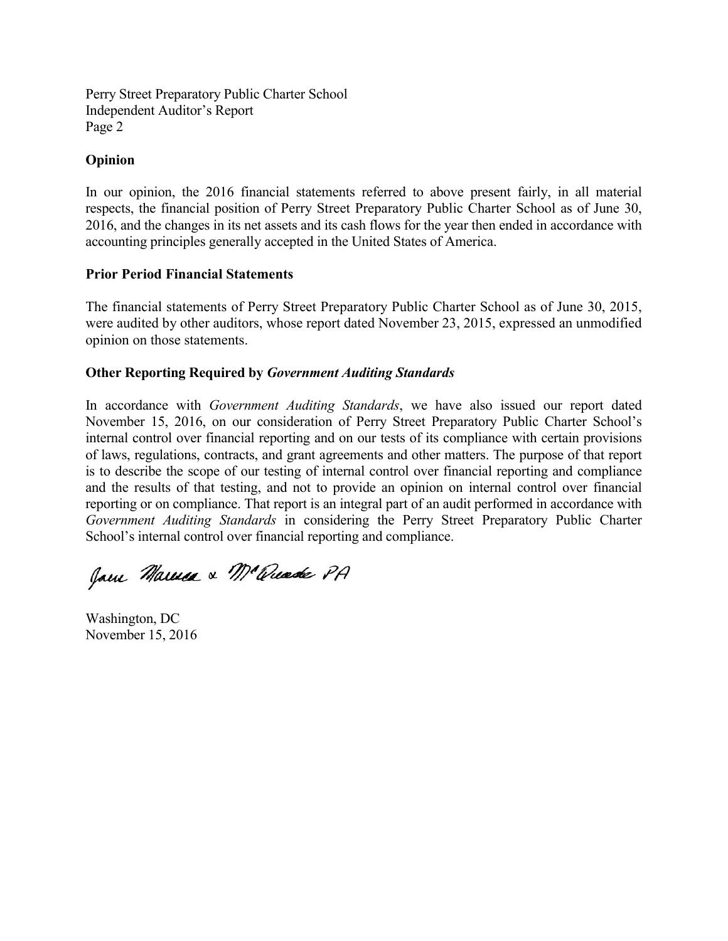Perry Street Preparatory Public Charter School Independent Auditor's Report Page 2

### **Opinion**

In our opinion, the 2016 financial statements referred to above present fairly, in all material respects, the financial position of Perry Street Preparatory Public Charter School as of June 30, 2016, and the changes in its net assets and its cash flows for the year then ended in accordance with accounting principles generally accepted in the United States of America.

### **Prior Period Financial Statements**

The financial statements of Perry Street Preparatory Public Charter School as of June 30, 2015, were audited by other auditors, whose report dated November 23, 2015, expressed an unmodified opinion on those statements.

### **Other Reporting Required by** *Government Auditing Standards*

In accordance with *Government Auditing Standards*, we have also issued our report dated November 15, 2016, on our consideration of Perry Street Preparatory Public Charter School's internal control over financial reporting and on our tests of its compliance with certain provisions of laws, regulations, contracts, and grant agreements and other matters. The purpose of that report is to describe the scope of our testing of internal control over financial reporting and compliance and the results of that testing, and not to provide an opinion on internal control over financial reporting or on compliance. That report is an integral part of an audit performed in accordance with *Government Auditing Standards* in considering the Perry Street Preparatory Public Charter School's internal control over financial reporting and compliance.

Jam Marcea & Mª Quade PA

Washington, DC November 15, 2016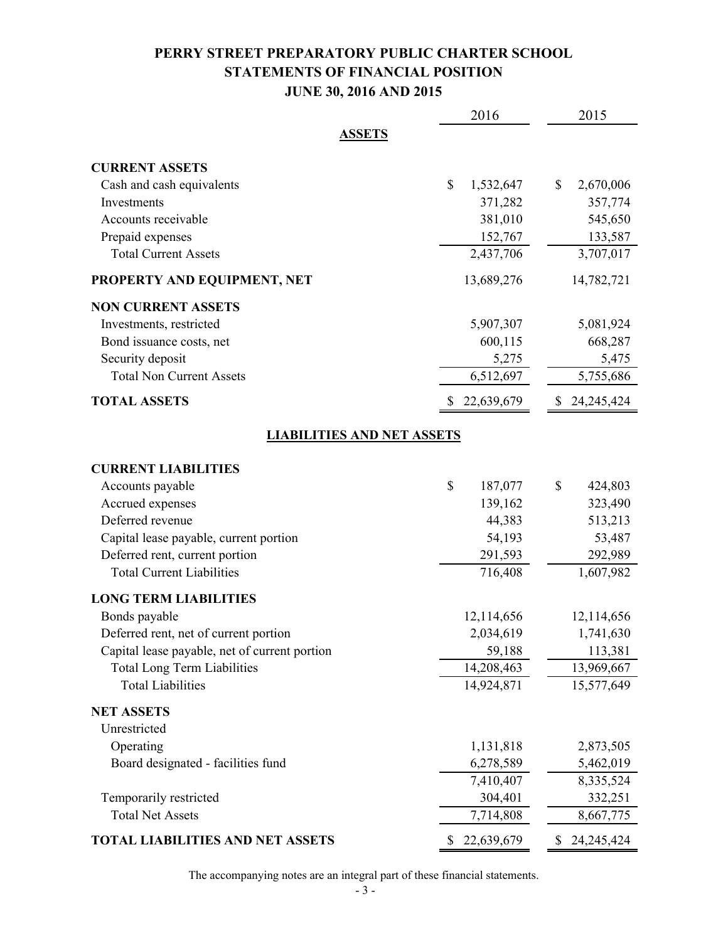# **PERRY STREET PREPARATORY PUBLIC CHARTER SCHOOL STATEMENTS OF FINANCIAL POSITION JUNE 30, 2016 AND 2015**

|                                               | 2016                      | 2015               |
|-----------------------------------------------|---------------------------|--------------------|
| <b>ASSETS</b>                                 |                           |                    |
| <b>CURRENT ASSETS</b>                         |                           |                    |
| Cash and cash equivalents                     | $\mathbb{S}$<br>1,532,647 | \$<br>2,670,006    |
| Investments                                   | 371,282                   | 357,774            |
| Accounts receivable                           | 381,010                   | 545,650            |
| Prepaid expenses                              | 152,767                   | 133,587            |
| <b>Total Current Assets</b>                   | 2,437,706                 | 3,707,017          |
| PROPERTY AND EQUIPMENT, NET                   | 13,689,276                | 14,782,721         |
| <b>NON CURRENT ASSETS</b>                     |                           |                    |
| Investments, restricted                       | 5,907,307                 | 5,081,924          |
| Bond issuance costs, net                      | 600,115                   | 668,287            |
| Security deposit                              | 5,275                     | 5,475              |
| <b>Total Non Current Assets</b>               | 6,512,697                 | 5,755,686          |
| <b>TOTAL ASSETS</b>                           | \$22,639,679              | \$24,245,424       |
| <b>LIABILITIES AND NET ASSETS</b>             |                           |                    |
| <b>CURRENT LIABILITIES</b>                    |                           |                    |
| Accounts payable                              | \$<br>187,077             | \$<br>424,803      |
| Accrued expenses                              | 139,162                   | 323,490            |
| Deferred revenue                              | 44,383                    | 513,213            |
| Capital lease payable, current portion        | 54,193                    | 53,487             |
| Deferred rent, current portion                | 291,593                   | 292,989            |
| <b>Total Current Liabilities</b>              | 716,408                   | 1,607,982          |
| <b>LONG TERM LIABILITIES</b>                  |                           |                    |
| Bonds payable                                 | 12,114,656                | 12,114,656         |
| Deferred rent, net of current portion         | 2,034,619                 | 1,741,630          |
| Capital lease payable, net of current portion | 59,188                    | 113,381            |
| <b>Total Long Term Liabilities</b>            | 14,208,463                | 13,969,667         |
| <b>Total Liabilities</b>                      | 14,924,871                | 15,577,649         |
| <b>NET ASSETS</b>                             |                           |                    |
| Unrestricted                                  |                           |                    |
| Operating                                     | 1,131,818                 | 2,873,505          |
| Board designated - facilities fund            | 6,278,589                 | 5,462,019          |
|                                               | 7,410,407                 | 8,335,524          |
| Temporarily restricted                        | 304,401                   | 332,251            |
| <b>Total Net Assets</b>                       | 7,714,808                 | 8,667,775          |
| <b>TOTAL LIABILITIES AND NET ASSETS</b>       | 22,639,679<br>\$          | 24, 245, 424<br>\$ |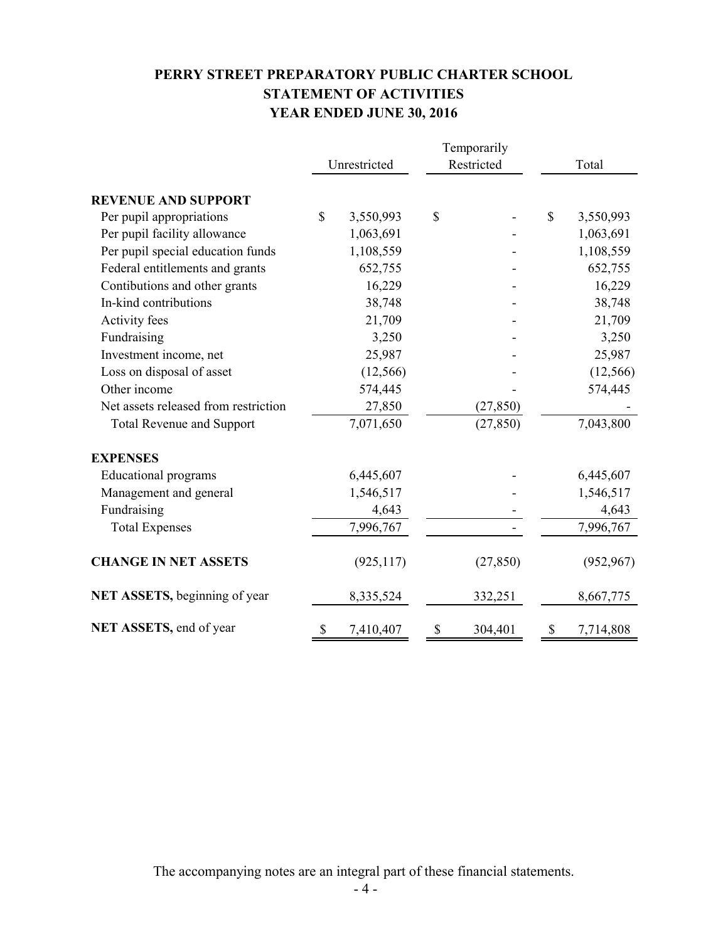# **PERRY STREET PREPARATORY PUBLIC CHARTER SCHOOL STATEMENT OF ACTIVITIES YEAR ENDED JUNE 30, 2016**

|                                      |              |              | Temporarily   |                           |            |
|--------------------------------------|--------------|--------------|---------------|---------------------------|------------|
|                                      |              | Unrestricted | Restricted    |                           | Total      |
| <b>REVENUE AND SUPPORT</b>           |              |              |               |                           |            |
| Per pupil appropriations             | $\mathbb{S}$ | 3,550,993    | \$            | $\boldsymbol{\mathsf{S}}$ | 3,550,993  |
| Per pupil facility allowance         |              | 1,063,691    |               |                           | 1,063,691  |
| Per pupil special education funds    |              | 1,108,559    |               |                           | 1,108,559  |
| Federal entitlements and grants      |              | 652,755      |               |                           | 652,755    |
| Contibutions and other grants        |              | 16,229       |               |                           | 16,229     |
| In-kind contributions                |              | 38,748       |               |                           | 38,748     |
| Activity fees                        |              | 21,709       |               |                           | 21,709     |
| Fundraising                          |              | 3,250        |               |                           | 3,250      |
| Investment income, net               |              | 25,987       |               |                           | 25,987     |
| Loss on disposal of asset            |              | (12, 566)    |               |                           | (12, 566)  |
| Other income                         |              | 574,445      |               |                           | 574,445    |
| Net assets released from restriction |              | 27,850       | (27, 850)     |                           |            |
| <b>Total Revenue and Support</b>     |              | 7,071,650    | (27, 850)     |                           | 7,043,800  |
| <b>EXPENSES</b>                      |              |              |               |                           |            |
| <b>Educational programs</b>          |              | 6,445,607    |               |                           | 6,445,607  |
| Management and general               |              | 1,546,517    |               |                           | 1,546,517  |
| Fundraising                          |              | 4,643        |               |                           | 4,643      |
| <b>Total Expenses</b>                |              | 7,996,767    |               |                           | 7,996,767  |
| <b>CHANGE IN NET ASSETS</b>          |              | (925, 117)   | (27, 850)     |                           | (952, 967) |
| NET ASSETS, beginning of year        |              | 8,335,524    | 332,251       |                           | 8,667,775  |
| NET ASSETS, end of year              | \$           | 7,410,407    | \$<br>304,401 | \$                        | 7,714,808  |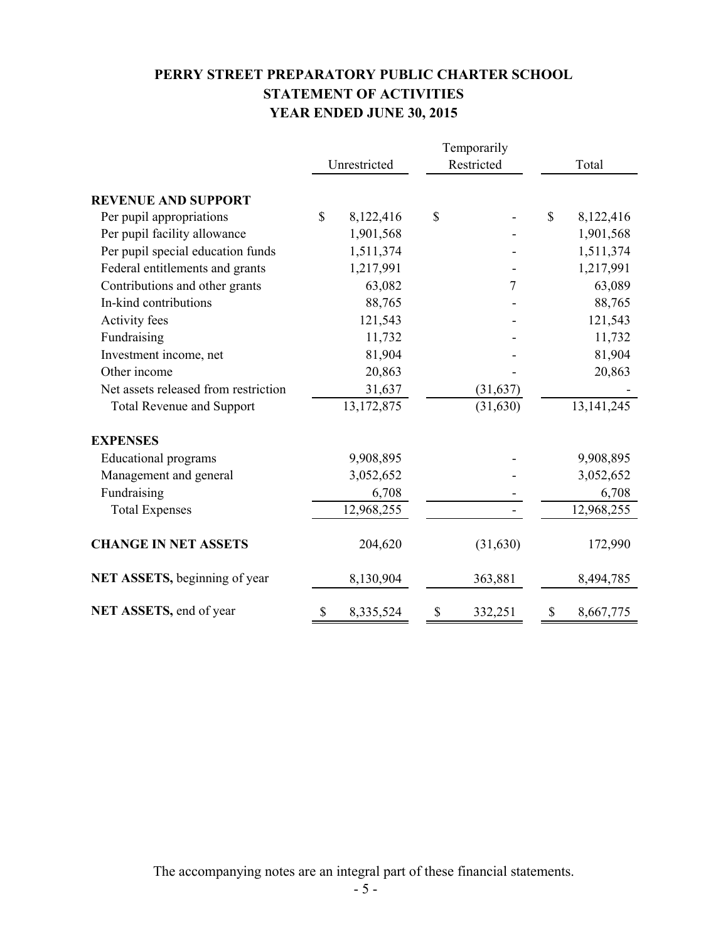# **PERRY STREET PREPARATORY PUBLIC CHARTER SCHOOL STATEMENT OF ACTIVITIES YEAR ENDED JUNE 30, 2015**

|                                      |                 | Temporarily   |                 |
|--------------------------------------|-----------------|---------------|-----------------|
|                                      | Unrestricted    | Restricted    | Total           |
| <b>REVENUE AND SUPPORT</b>           |                 |               |                 |
| Per pupil appropriations             | \$<br>8,122,416 | \$            | \$<br>8,122,416 |
| Per pupil facility allowance         | 1,901,568       |               | 1,901,568       |
| Per pupil special education funds    | 1,511,374       |               | 1,511,374       |
| Federal entitlements and grants      | 1,217,991       |               | 1,217,991       |
| Contributions and other grants       | 63,082          | 7             | 63,089          |
| In-kind contributions                | 88,765          |               | 88,765          |
| Activity fees                        | 121,543         |               | 121,543         |
| Fundraising                          | 11,732          |               | 11,732          |
| Investment income, net               | 81,904          |               | 81,904          |
| Other income                         | 20,863          |               | 20,863          |
| Net assets released from restriction | 31,637          | (31, 637)     |                 |
| <b>Total Revenue and Support</b>     | 13, 172, 875    | (31, 630)     | 13, 141, 245    |
| <b>EXPENSES</b>                      |                 |               |                 |
| <b>Educational</b> programs          | 9,908,895       |               | 9,908,895       |
| Management and general               | 3,052,652       |               | 3,052,652       |
| Fundraising                          | 6,708           |               | 6,708           |
| <b>Total Expenses</b>                | 12,968,255      |               | 12,968,255      |
| <b>CHANGE IN NET ASSETS</b>          | 204,620         | (31,630)      | 172,990         |
| <b>NET ASSETS, beginning of year</b> | 8,130,904       | 363,881       | 8,494,785       |
| NET ASSETS, end of year              | \$<br>8,335,524 | \$<br>332,251 | \$<br>8,667,775 |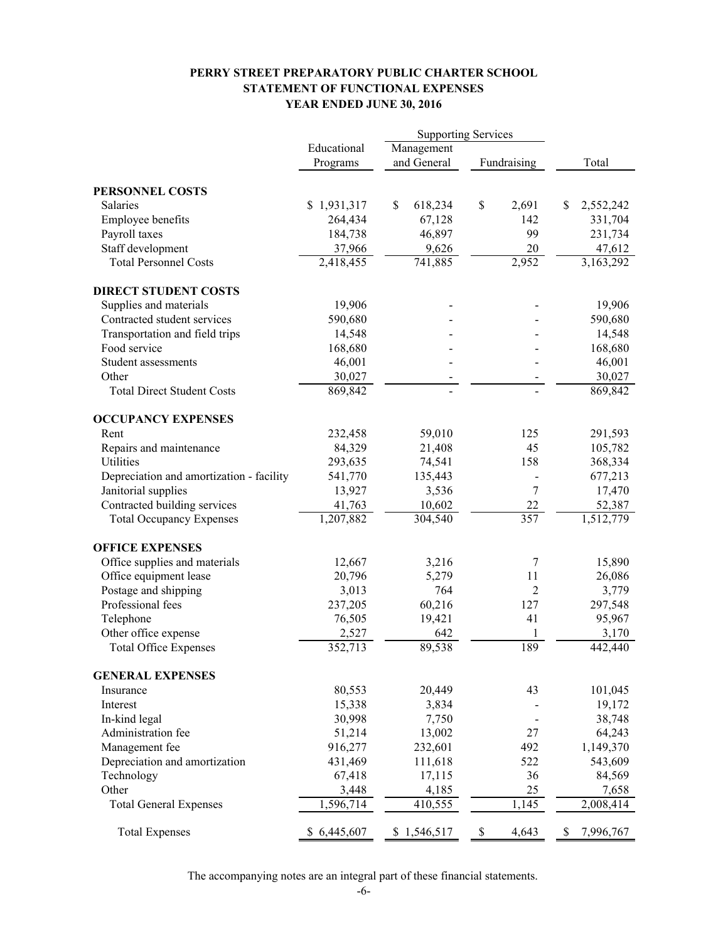#### **PERRY STREET PREPARATORY PUBLIC CHARTER SCHOOL STATEMENT OF FUNCTIONAL EXPENSES YEAR ENDED JUNE 30, 2016**

|                                          |             | <b>Supporting Services</b> |                  |                 |
|------------------------------------------|-------------|----------------------------|------------------|-----------------|
|                                          | Educational | Management                 |                  |                 |
|                                          | Programs    | and General                | Fundraising      | Total           |
| PERSONNEL COSTS                          |             |                            |                  |                 |
| <b>Salaries</b>                          | \$1,931,317 | \$<br>618,234              | \$<br>2,691      | \$<br>2,552,242 |
| Employee benefits                        | 264,434     | 67,128                     | 142              | 331,704         |
| Payroll taxes                            | 184,738     | 46,897                     | 99               | 231,734         |
| Staff development                        | 37,966      | 9,626                      | 20               | 47,612          |
| <b>Total Personnel Costs</b>             | 2,418,455   | 741,885                    | 2,952            | 3,163,292       |
| <b>DIRECT STUDENT COSTS</b>              |             |                            |                  |                 |
| Supplies and materials                   | 19,906      |                            |                  | 19,906          |
| Contracted student services              | 590,680     |                            |                  | 590,680         |
| Transportation and field trips           | 14,548      |                            |                  | 14,548          |
| Food service                             | 168,680     |                            |                  | 168,680         |
| Student assessments                      | 46,001      |                            |                  | 46,001          |
| Other                                    | 30,027      |                            |                  | 30,027          |
| <b>Total Direct Student Costs</b>        | 869,842     |                            |                  | 869,842         |
| <b>OCCUPANCY EXPENSES</b>                |             |                            |                  |                 |
| Rent                                     | 232,458     | 59,010                     | 125              | 291,593         |
| Repairs and maintenance                  | 84,329      | 21,408                     | 45               | 105,782         |
| Utilities                                | 293,635     | 74,541                     | 158              | 368,334         |
| Depreciation and amortization - facility | 541,770     | 135,443                    |                  | 677,213         |
| Janitorial supplies                      | 13,927      | 3,536                      | 7                | 17,470          |
| Contracted building services             | 41,763      | 10,602                     | 22               | 52,387          |
| <b>Total Occupancy Expenses</b>          | 1,207,882   | 304,540                    | $\overline{357}$ | 1,512,779       |
| <b>OFFICE EXPENSES</b>                   |             |                            |                  |                 |
| Office supplies and materials            | 12,667      | 3,216                      | 7                | 15,890          |
| Office equipment lease                   | 20,796      | 5,279                      | 11               | 26,086          |
| Postage and shipping                     | 3,013       | 764                        | 2                | 3,779           |
| Professional fees                        | 237,205     | 60,216                     | 127              | 297,548         |
| Telephone                                | 76,505      | 19,421                     | 41               | 95,967          |
| Other office expense                     | 2,527       | 642                        | 1                | 3,170           |
| <b>Total Office Expenses</b>             | 352,713     | 89,538                     | 189              | 442,440         |
| <b>GENERAL EXPENSES</b>                  |             |                            |                  |                 |
| Insurance                                | 80,553      | 20,449                     | 43               | 101,045         |
| Interest                                 | 15,338      | 3,834                      |                  | 19,172          |
| In-kind legal                            | 30,998      | 7,750                      |                  | 38,748          |
| Administration fee                       | 51,214      | 13,002                     | 27               | 64,243          |
| Management fee                           | 916,277     | 232,601                    | 492              | 1,149,370       |
| Depreciation and amortization            | 431,469     | 111,618                    | 522              | 543,609         |
| Technology                               | 67,418      | 17,115                     | 36               | 84,569          |
| Other                                    | 3,448       | 4,185                      | 25               | 7,658           |
| <b>Total General Expenses</b>            | 1,596,714   | 410,555                    | 1,145            | 2,008,414       |
| <b>Total Expenses</b>                    | \$6,445,607 | \$1,546,517                | \$<br>4,643      | \$<br>7,996,767 |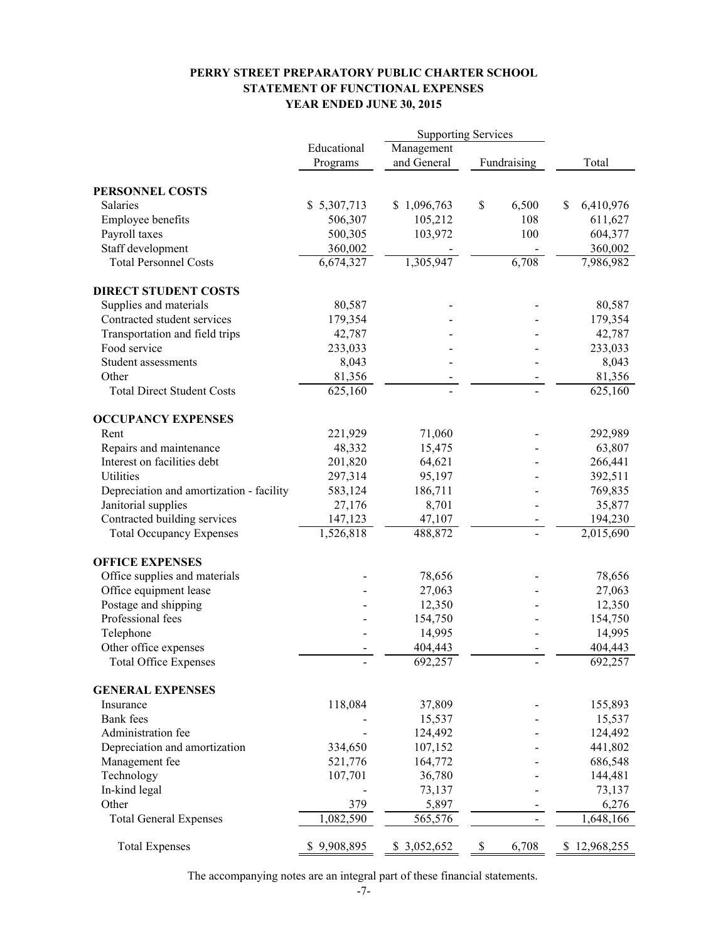#### **PERRY STREET PREPARATORY PUBLIC CHARTER SCHOOL STATEMENT OF FUNCTIONAL EXPENSES YEAR ENDED JUNE 30, 2015**

|                                          |             | <b>Supporting Services</b> |             |             |                 |
|------------------------------------------|-------------|----------------------------|-------------|-------------|-----------------|
|                                          | Educational | Management                 |             |             |                 |
|                                          | Programs    | and General                |             | Fundraising | Total           |
| PERSONNEL COSTS                          |             |                            |             |             |                 |
| Salaries                                 | \$5,307,713 | \$1,096,763                | \$          | 6,500       | \$<br>6,410,976 |
| Employee benefits                        | 506,307     | 105,212                    |             | 108         | 611,627         |
| Payroll taxes                            | 500,305     | 103,972                    |             | 100         | 604,377         |
| Staff development                        |             |                            |             |             |                 |
| <b>Total Personnel Costs</b>             | 360,002     | 1,305,947                  |             |             | 360,002         |
|                                          | 6,674,327   |                            |             | 6,708       | 7,986,982       |
| <b>DIRECT STUDENT COSTS</b>              |             |                            |             |             |                 |
| Supplies and materials                   | 80,587      |                            |             |             | 80,587          |
| Contracted student services              | 179,354     |                            |             |             | 179,354         |
| Transportation and field trips           | 42,787      |                            |             |             | 42,787          |
| Food service                             | 233,033     |                            |             |             | 233,033         |
| Student assessments                      | 8,043       |                            |             |             | 8,043           |
| Other                                    | 81,356      |                            |             |             | 81,356          |
| <b>Total Direct Student Costs</b>        | 625,160     |                            |             |             | 625,160         |
| <b>OCCUPANCY EXPENSES</b>                |             |                            |             |             |                 |
| Rent                                     | 221,929     | 71,060                     |             |             | 292,989         |
| Repairs and maintenance                  | 48,332      | 15,475                     |             |             | 63,807          |
| Interest on facilities debt              | 201,820     | 64,621                     |             |             | 266,441         |
| Utilities                                | 297,314     | 95,197                     |             |             | 392,511         |
| Depreciation and amortization - facility | 583,124     | 186,711                    |             |             | 769,835         |
| Janitorial supplies                      | 27,176      | 8,701                      |             |             | 35,877          |
| Contracted building services             | 147,123     | 47,107                     |             |             | 194,230         |
| <b>Total Occupancy Expenses</b>          | 1,526,818   | 488,872                    |             |             | 2,015,690       |
|                                          |             |                            |             |             |                 |
| <b>OFFICE EXPENSES</b>                   |             |                            |             |             |                 |
| Office supplies and materials            |             | 78,656                     |             |             | 78,656          |
| Office equipment lease                   |             | 27,063                     |             |             | 27,063          |
| Postage and shipping                     |             | 12,350                     |             |             | 12,350          |
| Professional fees                        |             | 154,750                    |             |             | 154,750         |
| Telephone                                |             | 14,995                     |             |             | 14,995          |
| Other office expenses                    |             | 404,443                    |             |             | 404,443         |
| <b>Total Office Expenses</b>             |             | 692,257                    |             |             | 692,257         |
| <b>GENERAL EXPENSES</b>                  |             |                            |             |             |                 |
| Insurance                                | 118,084     | 37,809                     |             |             | 155,893         |
| <b>Bank</b> fees                         |             | 15,537                     |             |             | 15,537          |
| Administration fee                       |             | 124,492                    |             |             | 124,492         |
| Depreciation and amortization            | 334,650     | 107,152                    |             |             | 441,802         |
| Management fee                           | 521,776     | 164,772                    |             |             | 686,548         |
| Technology                               | 107,701     | 36,780                     |             |             | 144,481         |
| In-kind legal                            |             | 73,137                     |             |             | 73,137          |
| Other                                    | 379         | 5,897                      |             |             | 6,276           |
| <b>Total General Expenses</b>            | 1,082,590   | 565,576                    |             |             | 1,648,166       |
| <b>Total Expenses</b>                    | \$9,908,895 | \$3,052,652                | $\mathbb S$ | 6,708       | \$12,968,255    |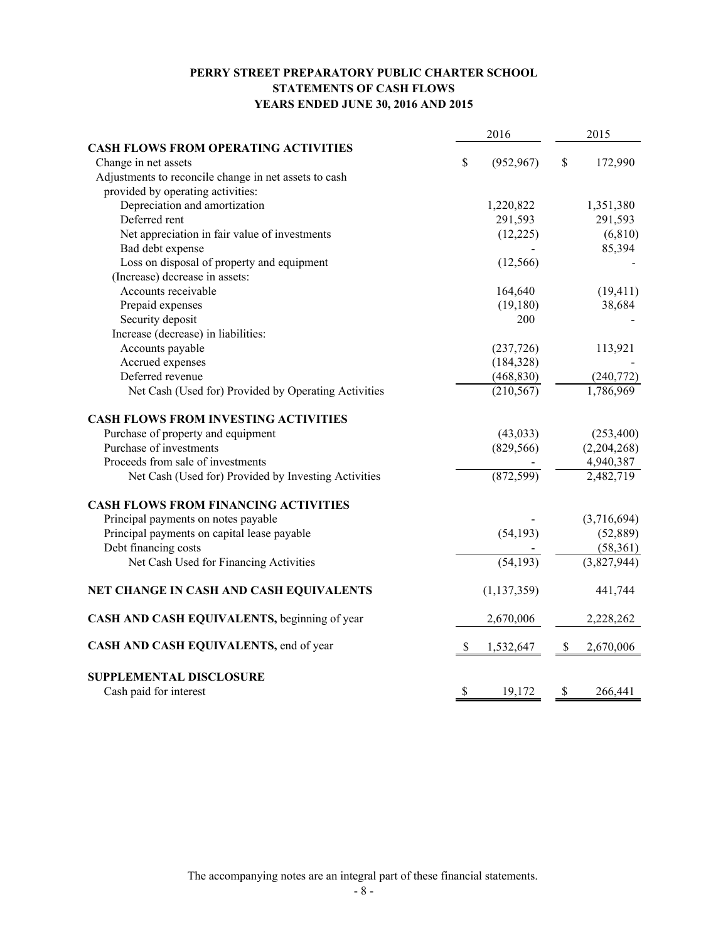### **PERRY STREET PREPARATORY PUBLIC CHARTER SCHOOL STATEMENTS OF CASH FLOWS YEARS ENDED JUNE 30, 2016 AND 2015**

|                                                       | 2016 |               | 2015 |             |
|-------------------------------------------------------|------|---------------|------|-------------|
| <b>CASH FLOWS FROM OPERATING ACTIVITIES</b>           |      |               |      |             |
| Change in net assets                                  | \$   | (952, 967)    | \$   | 172,990     |
| Adjustments to reconcile change in net assets to cash |      |               |      |             |
| provided by operating activities:                     |      |               |      |             |
| Depreciation and amortization                         |      | 1,220,822     |      | 1,351,380   |
| Deferred rent                                         |      | 291,593       |      | 291,593     |
| Net appreciation in fair value of investments         |      | (12, 225)     |      | (6, 810)    |
| Bad debt expense                                      |      |               |      | 85,394      |
| Loss on disposal of property and equipment            |      | (12, 566)     |      |             |
| (Increase) decrease in assets:                        |      |               |      |             |
| Accounts receivable                                   |      | 164,640       |      | (19, 411)   |
| Prepaid expenses                                      |      | (19, 180)     |      | 38,684      |
| Security deposit                                      |      | 200           |      |             |
| Increase (decrease) in liabilities:                   |      |               |      |             |
| Accounts payable                                      |      | (237, 726)    |      | 113,921     |
| Accrued expenses                                      |      | (184, 328)    |      |             |
| Deferred revenue                                      |      | (468, 830)    |      | (240, 772)  |
| Net Cash (Used for) Provided by Operating Activities  |      | (210, 567)    |      | 1,786,969   |
| <b>CASH FLOWS FROM INVESTING ACTIVITIES</b>           |      |               |      |             |
| Purchase of property and equipment                    |      | (43, 033)     |      | (253, 400)  |
| Purchase of investments                               |      | (829, 566)    |      | (2,204,268) |
| Proceeds from sale of investments                     |      |               |      | 4,940,387   |
| Net Cash (Used for) Provided by Investing Activities  |      | (872, 599)    |      | 2,482,719   |
| <b>CASH FLOWS FROM FINANCING ACTIVITIES</b>           |      |               |      |             |
| Principal payments on notes payable                   |      |               |      | (3,716,694) |
| Principal payments on capital lease payable           |      | (54, 193)     |      | (52, 889)   |
| Debt financing costs                                  |      |               |      | (58, 361)   |
| Net Cash Used for Financing Activities                |      | (54, 193)     |      | (3,827,944) |
| NET CHANGE IN CASH AND CASH EQUIVALENTS               |      | (1, 137, 359) |      | 441,744     |
| CASH AND CASH EQUIVALENTS, beginning of year          |      | 2,670,006     |      | 2,228,262   |
| CASH AND CASH EQUIVALENTS, end of year                | \$   | 1,532,647     | \$   | 2,670,006   |
| <b>SUPPLEMENTAL DISCLOSURE</b>                        |      |               |      |             |
| Cash paid for interest                                | \$   | 19,172        | \$   | 266,441     |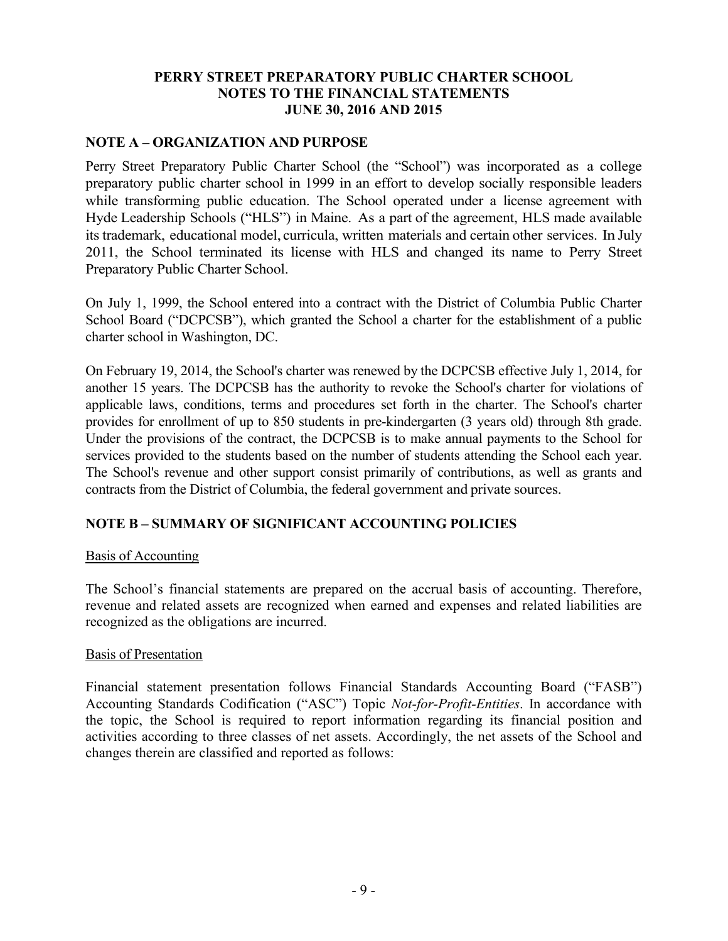### **NOTE A – ORGANIZATION AND PURPOSE**

Perry Street Preparatory Public Charter School (the "School") was incorporated as a college preparatory public charter school in 1999 in an effort to develop socially responsible leaders while transforming public education. The School operated under a license agreement with Hyde Leadership Schools ("HLS") in Maine. As a part of the agreement, HLS made available its trademark, educational model, curricula, written materials and certain other services. In July 2011, the School terminated its license with HLS and changed its name to Perry Street Preparatory Public Charter School.

On July 1, 1999, the School entered into a contract with the District of Columbia Public Charter School Board ("DCPCSB"), which granted the School a charter for the establishment of a public charter school in Washington, DC.

On February 19, 2014, the School's charter was renewed by the DCPCSB effective July 1, 2014, for another 15 years. The DCPCSB has the authority to revoke the School's charter for violations of applicable laws, conditions, terms and procedures set forth in the charter. The School's charter provides for enrollment of up to 850 students in pre-kindergarten (3 years old) through 8th grade. Under the provisions of the contract, the DCPCSB is to make annual payments to the School for services provided to the students based on the number of students attending the School each year. The School's revenue and other support consist primarily of contributions, as well as grants and contracts from the District of Columbia, the federal government and private sources.

# **NOTE B – SUMMARY OF SIGNIFICANT ACCOUNTING POLICIES**

### Basis of Accounting

The School's financial statements are prepared on the accrual basis of accounting. Therefore, revenue and related assets are recognized when earned and expenses and related liabilities are recognized as the obligations are incurred.

#### Basis of Presentation

Financial statement presentation follows Financial Standards Accounting Board ("FASB") Accounting Standards Codification ("ASC") Topic *Not-for-Profit-Entities*. In accordance with the topic, the School is required to report information regarding its financial position and activities according to three classes of net assets. Accordingly, the net assets of the School and changes therein are classified and reported as follows: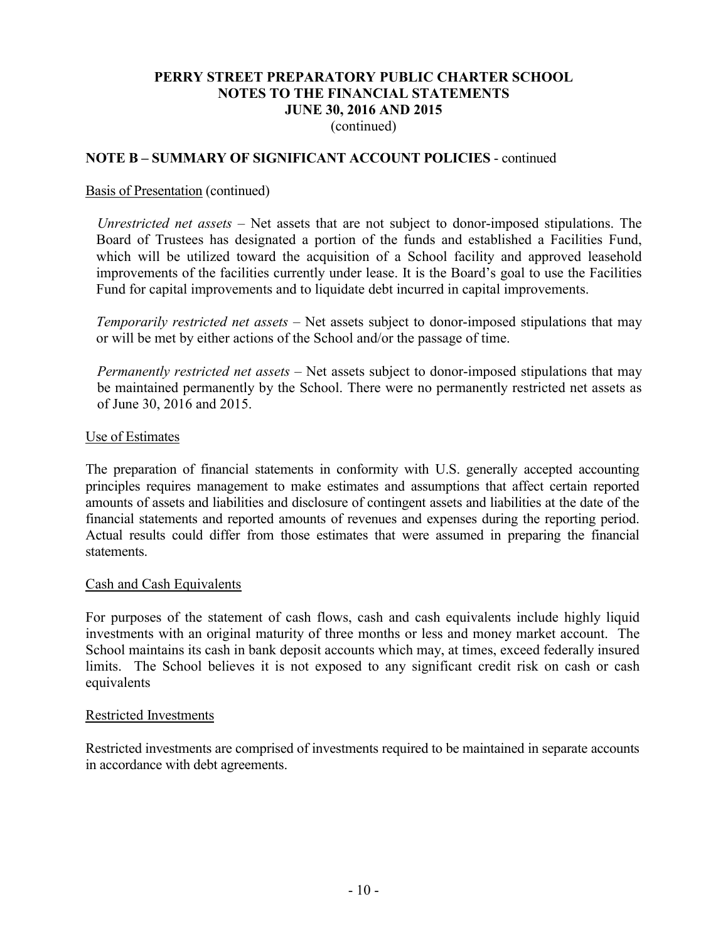(continued)

#### **NOTE B – SUMMARY OF SIGNIFICANT ACCOUNT POLICIES** - continued

#### Basis of Presentation (continued)

*Unrestricted net assets* – Net assets that are not subject to donor-imposed stipulations. The Board of Trustees has designated a portion of the funds and established a Facilities Fund, which will be utilized toward the acquisition of a School facility and approved leasehold improvements of the facilities currently under lease. It is the Board's goal to use the Facilities Fund for capital improvements and to liquidate debt incurred in capital improvements.

*Temporarily restricted net assets* – Net assets subject to donor-imposed stipulations that may or will be met by either actions of the School and/or the passage of time.

*Permanently restricted net assets* – Net assets subject to donor-imposed stipulations that may be maintained permanently by the School. There were no permanently restricted net assets as of June 30, 2016 and 2015.

#### Use of Estimates

The preparation of financial statements in conformity with U.S. generally accepted accounting principles requires management to make estimates and assumptions that affect certain reported amounts of assets and liabilities and disclosure of contingent assets and liabilities at the date of the financial statements and reported amounts of revenues and expenses during the reporting period. Actual results could differ from those estimates that were assumed in preparing the financial statements.

#### Cash and Cash Equivalents

For purposes of the statement of cash flows, cash and cash equivalents include highly liquid investments with an original maturity of three months or less and money market account. The School maintains its cash in bank deposit accounts which may, at times, exceed federally insured limits. The School believes it is not exposed to any significant credit risk on cash or cash equivalents

#### Restricted Investments

Restricted investments are comprised of investments required to be maintained in separate accounts in accordance with debt agreements.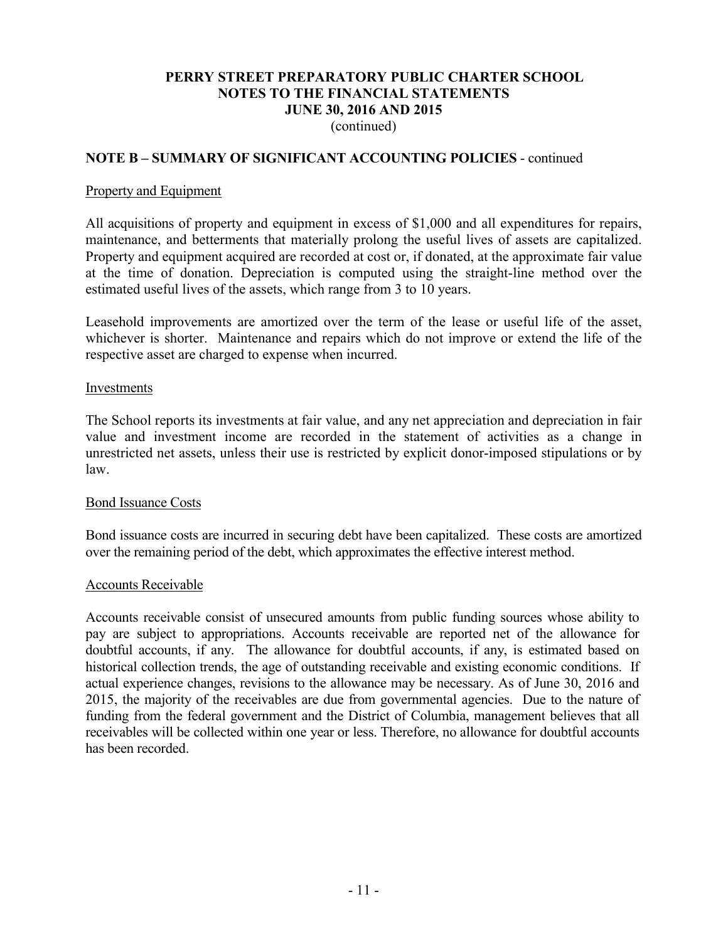(continued)

#### **NOTE B – SUMMARY OF SIGNIFICANT ACCOUNTING POLICIES** - continued

#### Property and Equipment

All acquisitions of property and equipment in excess of \$1,000 and all expenditures for repairs, maintenance, and betterments that materially prolong the useful lives of assets are capitalized. Property and equipment acquired are recorded at cost or, if donated, at the approximate fair value at the time of donation. Depreciation is computed using the straight-line method over the estimated useful lives of the assets, which range from 3 to 10 years.

Leasehold improvements are amortized over the term of the lease or useful life of the asset, whichever is shorter. Maintenance and repairs which do not improve or extend the life of the respective asset are charged to expense when incurred.

#### Investments

The School reports its investments at fair value, and any net appreciation and depreciation in fair value and investment income are recorded in the statement of activities as a change in unrestricted net assets, unless their use is restricted by explicit donor-imposed stipulations or by law.

#### Bond Issuance Costs

Bond issuance costs are incurred in securing debt have been capitalized. These costs are amortized over the remaining period of the debt, which approximates the effective interest method.

#### Accounts Receivable

Accounts receivable consist of unsecured amounts from public funding sources whose ability to pay are subject to appropriations. Accounts receivable are reported net of the allowance for doubtful accounts, if any. The allowance for doubtful accounts, if any, is estimated based on historical collection trends, the age of outstanding receivable and existing economic conditions. If actual experience changes, revisions to the allowance may be necessary. As of June 30, 2016 and 2015, the majority of the receivables are due from governmental agencies. Due to the nature of funding from the federal government and the District of Columbia, management believes that all receivables will be collected within one year or less. Therefore, no allowance for doubtful accounts has been recorded.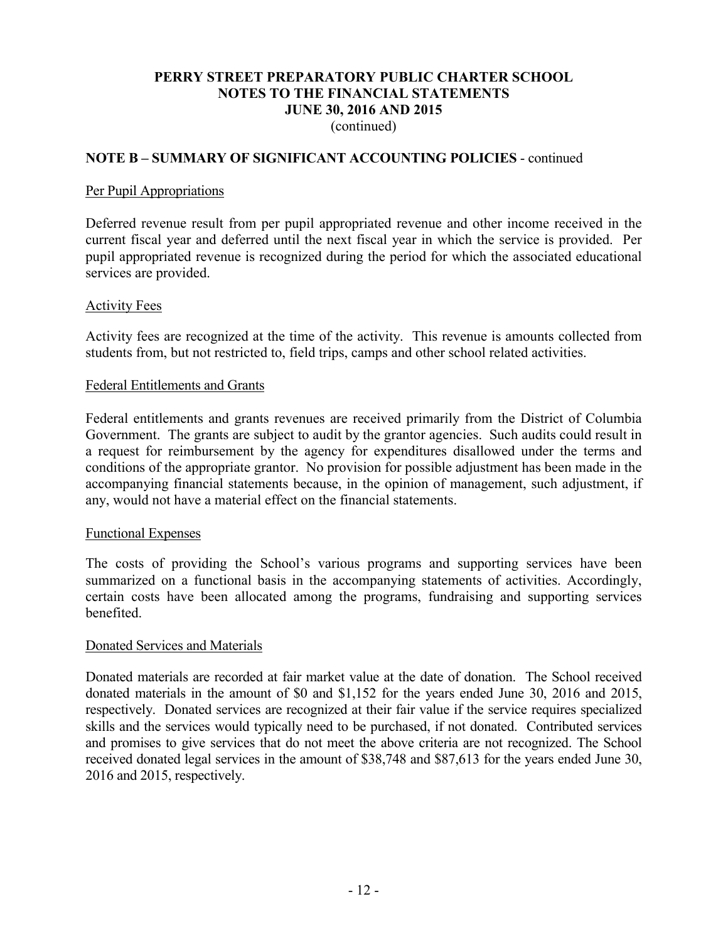(continued)

#### **NOTE B – SUMMARY OF SIGNIFICANT ACCOUNTING POLICIES** - continued

#### Per Pupil Appropriations

Deferred revenue result from per pupil appropriated revenue and other income received in the current fiscal year and deferred until the next fiscal year in which the service is provided. Per pupil appropriated revenue is recognized during the period for which the associated educational services are provided.

#### Activity Fees

Activity fees are recognized at the time of the activity. This revenue is amounts collected from students from, but not restricted to, field trips, camps and other school related activities.

#### Federal Entitlements and Grants

Federal entitlements and grants revenues are received primarily from the District of Columbia Government. The grants are subject to audit by the grantor agencies. Such audits could result in a request for reimbursement by the agency for expenditures disallowed under the terms and conditions of the appropriate grantor. No provision for possible adjustment has been made in the accompanying financial statements because, in the opinion of management, such adjustment, if any, would not have a material effect on the financial statements.

#### Functional Expenses

The costs of providing the School's various programs and supporting services have been summarized on a functional basis in the accompanying statements of activities. Accordingly, certain costs have been allocated among the programs, fundraising and supporting services benefited.

#### Donated Services and Materials

Donated materials are recorded at fair market value at the date of donation. The School received donated materials in the amount of \$0 and \$1,152 for the years ended June 30, 2016 and 2015, respectively. Donated services are recognized at their fair value if the service requires specialized skills and the services would typically need to be purchased, if not donated. Contributed services and promises to give services that do not meet the above criteria are not recognized. The School received donated legal services in the amount of \$38,748 and \$87,613 for the years ended June 30, 2016 and 2015, respectively.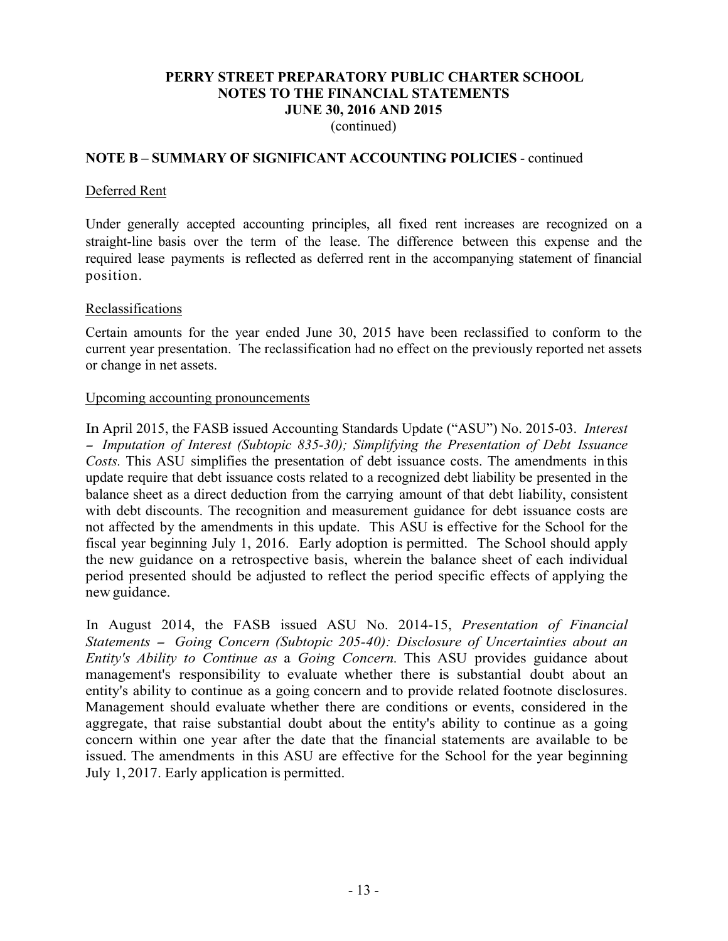(continued)

#### **NOTE B – SUMMARY OF SIGNIFICANT ACCOUNTING POLICIES** - continued

#### Deferred Rent

Under generally accepted accounting principles, all fixed rent increases are recognized on a straight-line basis over the term of the lease. The difference between this expense and the required lease payments is reflected as deferred rent in the accompanying statement of financial position.

#### Reclassifications

Certain amounts for the year ended June 30, 2015 have been reclassified to conform to the current year presentation. The reclassification had no effect on the previously reported net assets or change in net assets.

#### Upcoming accounting pronouncements

In April 2015, the FASB issued Accounting Standards Update ("ASU") No. 2015-03. *Interest - Imputation of Interest (Subtopic 835-30); Simplifying the Presentation of Debt Issuance Costs.* This ASU simplifies the presentation of debt issuance costs. The amendments in this update require that debt issuance costs related to a recognized debt liability be presented in the balance sheet as a direct deduction from the carrying amount of that debt liability, consistent with debt discounts. The recognition and measurement guidance for debt issuance costs are not affected by the amendments in this update. This ASU is effective for the School for the fiscal year beginning July 1, 2016. Early adoption is permitted. The School should apply the new guidance on a retrospective basis, wherein the balance sheet of each individual period presented should be adjusted to reflect the period specific effects of applying the new guidance.

In August 2014, the FASB issued ASU No. 2014-15, *Presentation of Financial Statements - Going Concern (Subtopic 205-40): Disclosure of Uncertainties about an Entity's Ability to Continue as* a *Going Concern.* This ASU provides guidance about management's responsibility to evaluate whether there is substantial doubt about an entity's ability to continue as a going concern and to provide related footnote disclosures. Management should evaluate whether there are conditions or events, considered in the aggregate, that raise substantial doubt about the entity's ability to continue as a going concern within one year after the date that the financial statements are available to be issued. The amendments in this ASU are effective for the School for the year beginning July 1, 2017. Early application is permitted.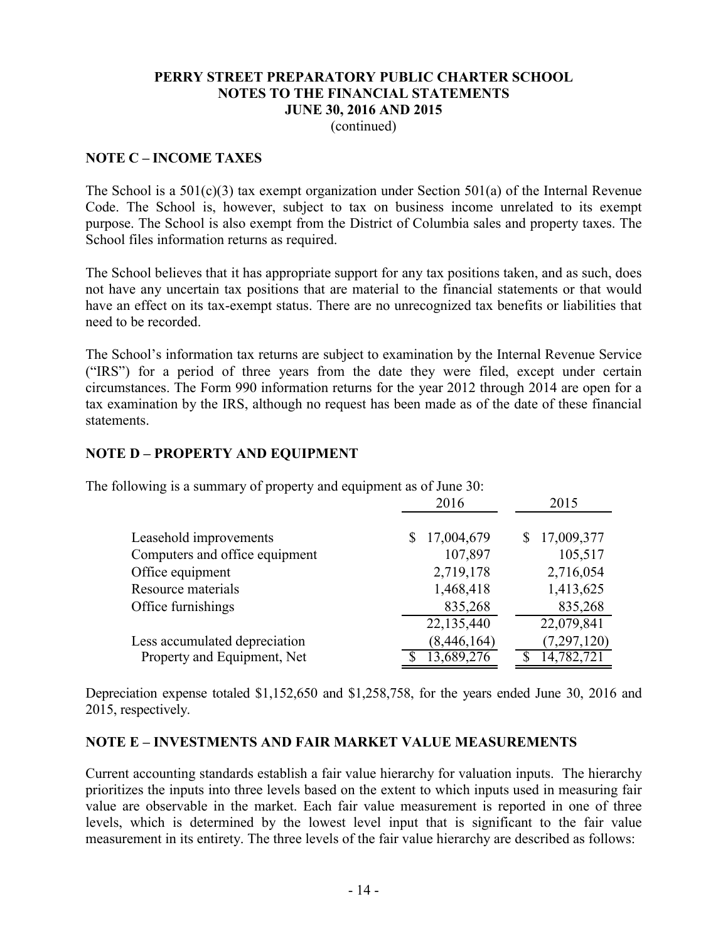(continued)

### **NOTE C – INCOME TAXES**

The School is a 501(c)(3) tax exempt organization under Section 501(a) of the Internal Revenue Code. The School is, however, subject to tax on business income unrelated to its exempt purpose. The School is also exempt from the District of Columbia sales and property taxes. The School files information returns as required.

The School believes that it has appropriate support for any tax positions taken, and as such, does not have any uncertain tax positions that are material to the financial statements or that would have an effect on its tax-exempt status. There are no unrecognized tax benefits or liabilities that need to be recorded.

The School's information tax returns are subject to examination by the Internal Revenue Service ("IRS") for a period of three years from the date they were filed, except under certain circumstances. The Form 990 information returns for the year 2012 through 2014 are open for a tax examination by the IRS, although no request has been made as of the date of these financial statements.

### **NOTE D – PROPERTY AND EQUIPMENT**

|                                | 2016          | 2015             |
|--------------------------------|---------------|------------------|
| Leasehold improvements         | 17,004,679    | 17,009,377<br>S. |
| Computers and office equipment | 107,897       | 105,517          |
| Office equipment               | 2,719,178     | 2,716,054        |
| Resource materials             | 1,468,418     | 1,413,625        |
| Office furnishings             | 835,268       | 835,268          |
|                                | 22,135,440    | 22,079,841       |
| Less accumulated depreciation  | (8, 446, 164) | (7, 297, 120)    |
| Property and Equipment, Net    | 13,689,276    | 14,782,721       |

The following is a summary of property and equipment as of June 30:

Depreciation expense totaled \$1,152,650 and \$1,258,758, for the years ended June 30, 2016 and 2015, respectively.

#### **NOTE E – INVESTMENTS AND FAIR MARKET VALUE MEASUREMENTS**

Current accounting standards establish a fair value hierarchy for valuation inputs. The hierarchy prioritizes the inputs into three levels based on the extent to which inputs used in measuring fair value are observable in the market. Each fair value measurement is reported in one of three levels, which is determined by the lowest level input that is significant to the fair value measurement in its entirety. The three levels of the fair value hierarchy are described as follows: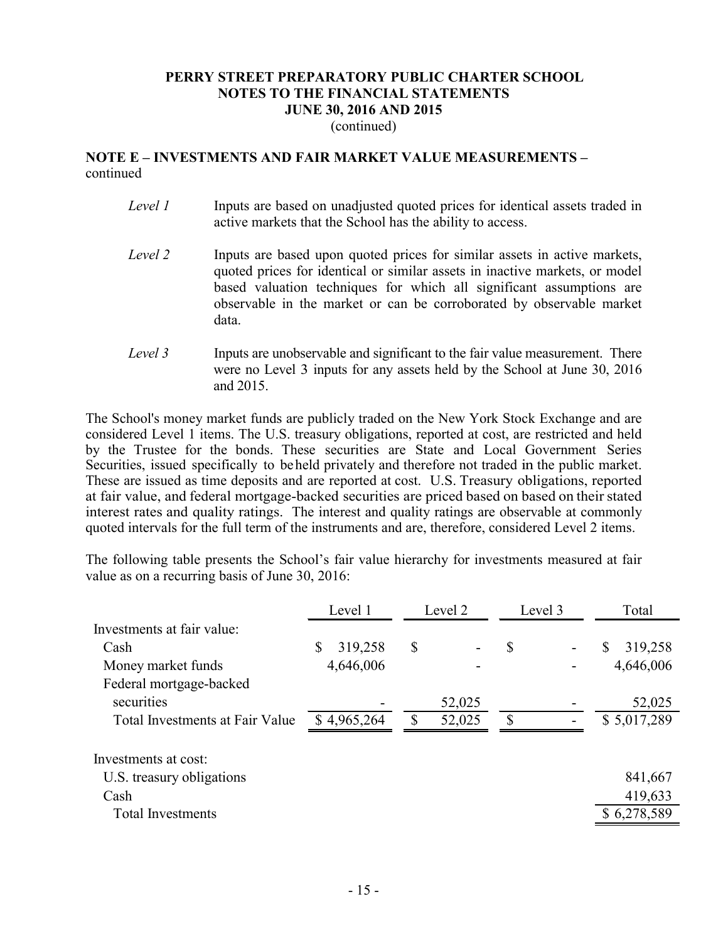(continued)

#### **NOTE E – INVESTMENTS AND FAIR MARKET VALUE MEASUREMENTS –** continued

- *Level 1* Inputs are based on unadjusted quoted prices for identical assets traded in active markets that the School has the ability to access.
- *Level 2* Inputs are based upon quoted prices for similar assets in active markets, quoted prices for identical or similar assets in inactive markets, or model based valuation techniques for which all significant assumptions are observable in the market or can be corroborated by observable market data.
- *Level 3* Inputs are unobservable and significant to the fair value measurement. There were no Level 3 inputs for any assets held by the School at June 30, 2016 and 2015.

The School's money market funds are publicly traded on the New York Stock Exchange and are considered Level 1 items. The U.S. treasury obligations, reported at cost, are restricted and held by the Trustee for the bonds. These securities are State and Local Government Series Securities, issued specifically to beheld privately and therefore not traded in the public market. These are issued as time deposits and are reported at cost. U.S. Treasury obligations, reported at fair value, and federal mortgage-backed securities are priced based on based on their stated interest rates and quality ratings. The interest and quality ratings are observable at commonly quoted intervals for the full term of the instruments and are, therefore, considered Level 2 items.

The following table presents the School's fair value hierarchy for investments measured at fair value as on a recurring basis of June 30, 2016:

|                                        | Level 1       | Level 2 | Level 3       | Total         |
|----------------------------------------|---------------|---------|---------------|---------------|
| Investments at fair value:             |               |         |               |               |
| Cash                                   | 319,258<br>\$ | \$<br>- | \$<br>۰       | 319,258<br>\$ |
| Money market funds                     | 4,646,006     |         |               | 4,646,006     |
| Federal mortgage-backed                |               |         |               |               |
| securities                             |               | 52,025  |               | 52,025        |
| <b>Total Investments at Fair Value</b> | \$4,965,264   | 52,025  | <sup>\$</sup> | \$5,017,289   |
| Investments at cost:                   |               |         |               |               |
| U.S. treasury obligations              |               |         |               | 841,667       |
| Cash                                   |               |         |               | 419,633       |
| <b>Total Investments</b>               |               |         |               | \$6,278,589   |
|                                        |               |         |               |               |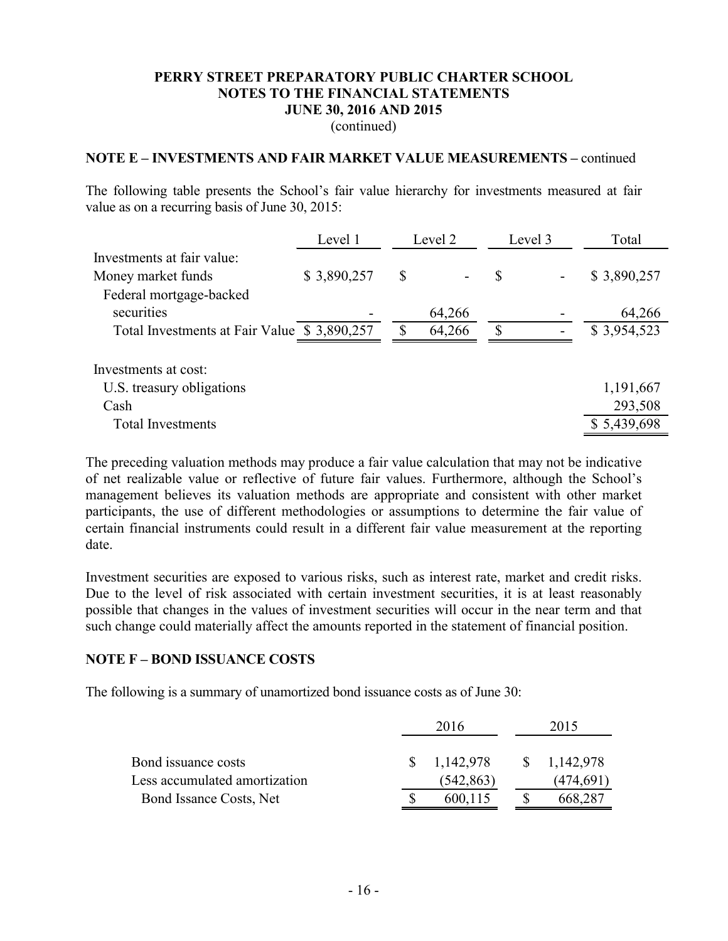(continued)

#### **NOTE E – INVESTMENTS AND FAIR MARKET VALUE MEASUREMENTS –** continued

The following table presents the School's fair value hierarchy for investments measured at fair value as on a recurring basis of June 30, 2015:

|                                             | Level 1     | Level 2      |               | Level 3 | Total       |
|---------------------------------------------|-------------|--------------|---------------|---------|-------------|
| Investments at fair value:                  |             |              |               |         |             |
| Money market funds                          | \$3,890,257 | \$           | <sup>\$</sup> |         | \$3,890,257 |
| Federal mortgage-backed                     |             |              |               |         |             |
| securities                                  |             | 64,266       |               |         | 64,266      |
| Total Investments at Fair Value \$3,890,257 |             | \$<br>64,266 | S             |         | \$3,954,523 |
|                                             |             |              |               |         |             |
| Investments at cost:                        |             |              |               |         |             |
| U.S. treasury obligations                   |             |              |               |         | 1,191,667   |
| Cash                                        |             |              |               |         | 293,508     |
| <b>Total Investments</b>                    |             |              |               |         | \$5,439,698 |

The preceding valuation methods may produce a fair value calculation that may not be indicative of net realizable value or reflective of future fair values. Furthermore, although the School's management believes its valuation methods are appropriate and consistent with other market participants, the use of different methodologies or assumptions to determine the fair value of certain financial instruments could result in a different fair value measurement at the reporting date.

Investment securities are exposed to various risks, such as interest rate, market and credit risks. Due to the level of risk associated with certain investment securities, it is at least reasonably possible that changes in the values of investment securities will occur in the near term and that such change could materially affect the amounts reported in the statement of financial position.

#### **NOTE F – BOND ISSUANCE COSTS**

The following is a summary of unamortized bond issuance costs as of June 30:

|                                                      | 2016                    | 2015                     |
|------------------------------------------------------|-------------------------|--------------------------|
| Bond issuance costs<br>Less accumulated amortization | 1,142,978<br>(542, 863) | \$1,142,978<br>(474,691) |
| <b>Bond Issance Costs, Net</b>                       | 600,115                 | 668,287                  |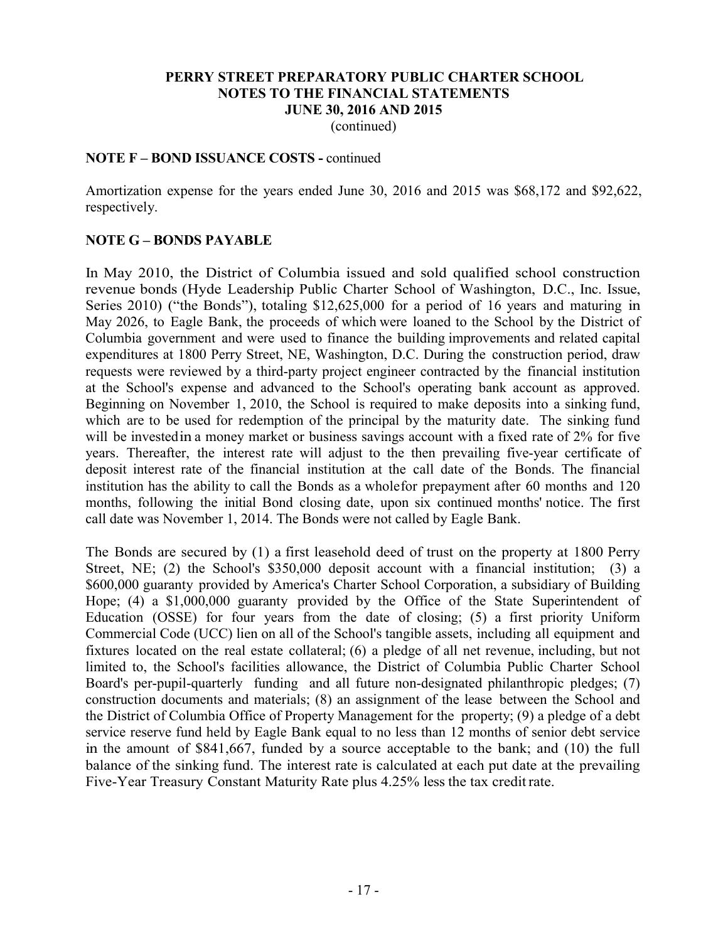(continued)

#### **NOTE F – BOND ISSUANCE COSTS -** continued

Amortization expense for the years ended June 30, 2016 and 2015 was \$68,172 and \$92,622, respectively.

#### **NOTE G – BONDS PAYABLE**

In May 2010, the District of Columbia issued and sold qualified school construction revenue bonds (Hyde Leadership Public Charter School of Washington, D.C., Inc. Issue, Series 2010) ("the Bonds"), totaling \$12,625,000 for a period of 16 years and maturing in May 2026, to Eagle Bank, the proceeds of which were loaned to the School by the District of Columbia government and were used to finance the building improvements and related capital expenditures at 1800 Perry Street, NE, Washington, D.C. During the construction period, draw requests were reviewed by a third-party project engineer contracted by the financial institution at the School's expense and advanced to the School's operating bank account as approved. Beginning on November 1, 2010, the School is required to make deposits into a sinking fund, which are to be used for redemption of the principal by the maturity date. The sinking fund will be invested in a money market or business savings account with a fixed rate of 2% for five years. Thereafter, the interest rate will adjust to the then prevailing five-year certificate of deposit interest rate of the financial institution at the call date of the Bonds. The financial institution has the ability to call the Bonds as a wholefor prepayment after 60 months and 120 months, following the initial Bond closing date, upon six continued months' notice. The first call date was November 1, 2014. The Bonds were not called by Eagle Bank.

The Bonds are secured by (1) a first leasehold deed of trust on the property at 1800 Perry Street, NE; (2) the School's \$350,000 deposit account with a financial institution; (3) a \$600,000 guaranty provided by America's Charter School Corporation, a subsidiary of Building Hope; (4) a \$1,000,000 guaranty provided by the Office of the State Superintendent of Education (OSSE) for four years from the date of closing; (5) a first priority Uniform Commercial Code (UCC) lien on all of the School's tangible assets, including all equipment and fixtures located on the real estate collateral; (6) a pledge of all net revenue, including, but not limited to, the School's facilities allowance, the District of Columbia Public Charter School Board's per-pupil-quarterly funding and all future non-designated philanthropic pledges; (7) construction documents and materials; (8) an assignment of the lease between the School and the District of Columbia Office of Property Management for the property; (9) a pledge of a debt service reserve fund held by Eagle Bank equal to no less than 12 months of senior debt service in the amount of \$841,667, funded by a source acceptable to the bank; and (10) the full balance of the sinking fund. The interest rate is calculated at each put date at the prevailing Five-Year Treasury Constant Maturity Rate plus 4.25% less the tax creditrate.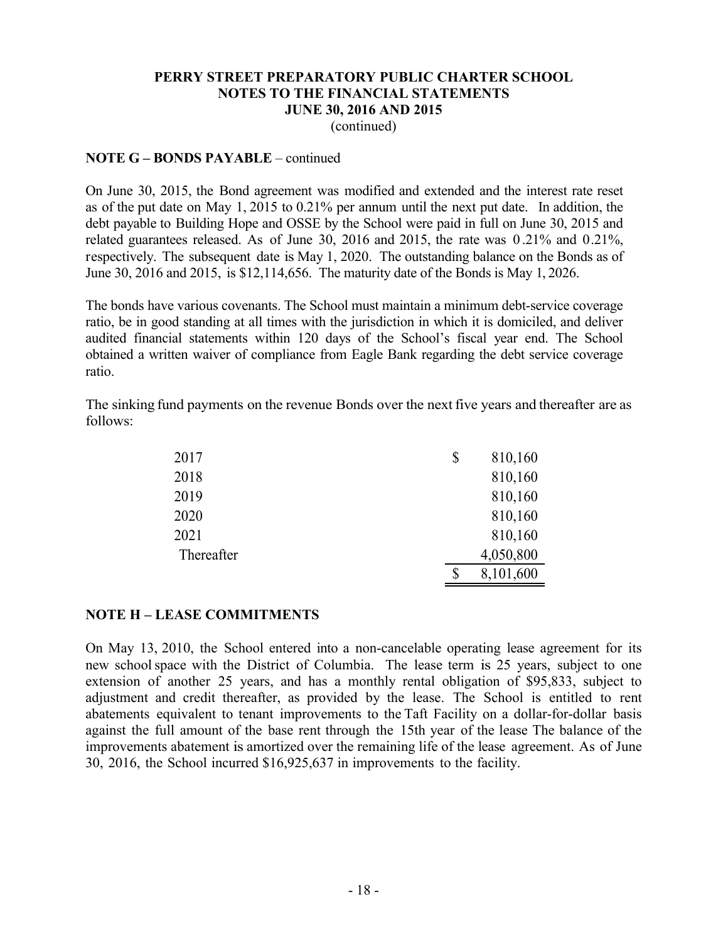(continued)

#### **NOTE G – BONDS PAYABLE** – continued

On June 30, 2015, the Bond agreement was modified and extended and the interest rate reset as of the put date on May 1, 2015 to 0.21% per annum until the next put date. In addition, the debt payable to Building Hope and OSSE by the School were paid in full on June 30, 2015 and related guarantees released. As of June 30, 2016 and 2015, the rate was 0 .21% and 0.21%, respectively. The subsequent date is May 1, 2020. The outstanding balance on the Bonds as of June 30, 2016 and 2015, is \$12,114,656. The maturity date of the Bonds is May 1, 2026.

The bonds have various covenants. The School must maintain a minimum debt-service coverage ratio, be in good standing at all times with the jurisdiction in which it is domiciled, and deliver audited financial statements within 120 days of the School's fiscal year end. The School obtained a written waiver of compliance from Eagle Bank regarding the debt service coverage ratio.

The sinking fund payments on the revenue Bonds over the next five years and thereafter are as follows:

| 2017       | \$<br>810,160 |
|------------|---------------|
| 2018       | 810,160       |
| 2019       | 810,160       |
| 2020       | 810,160       |
| 2021       | 810,160       |
| Thereafter | 4,050,800     |
|            | 8,101,600     |

#### **NOTE H – LEASE COMMITMENTS**

On May 13, 2010, the School entered into a non-cancelable operating lease agreement for its new schoolspace with the District of Columbia. The lease term is 25 years, subject to one extension of another 25 years, and has a monthly rental obligation of \$95,833, subject to adjustment and credit thereafter, as provided by the lease. The School is entitled to rent abatements equivalent to tenant improvements to the Taft Facility on a dollar-for-dollar basis against the full amount of the base rent through the 15th year of the lease The balance of the improvements abatement is amortized over the remaining life of the lease agreement. As of June 30, 2016, the School incurred \$16,925,637 in improvements to the facility.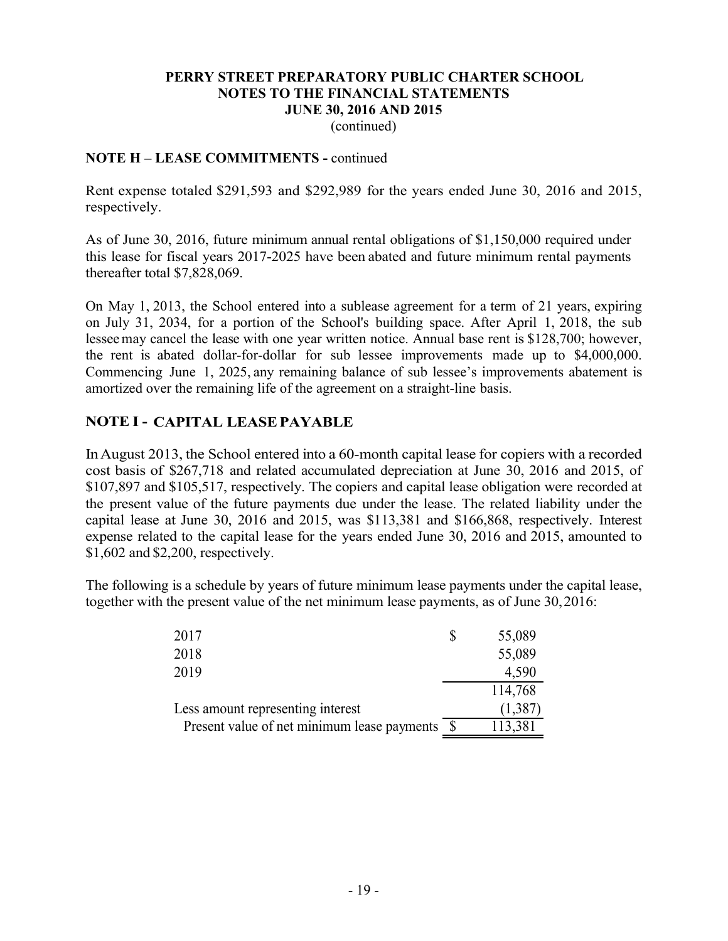(continued)

#### **NOTE H – LEASE COMMITMENTS -** continued

Rent expense totaled \$291,593 and \$292,989 for the years ended June 30, 2016 and 2015, respectively.

As of June 30, 2016, future minimum annual rental obligations of \$1,150,000 required under this lease for fiscal years 2017-2025 have been abated and future minimum rental payments thereafter total \$7,828,069.

On May 1, 2013, the School entered into a sublease agreement for a term of 21 years, expiring on July 31, 2034, for a portion of the School's building space. After April 1, 2018, the sub lesseemay cancel the lease with one year written notice. Annual base rent is \$128,700; however, the rent is abated dollar-for-dollar for sub lessee improvements made up to \$4,000,000. Commencing June 1, 2025, any remaining balance of sub lessee's improvements abatement is amortized over the remaining life of the agreement on a straight-line basis.

# **NOTE I - CAPITAL LEASEPAYABLE**

InAugust 2013, the School entered into a 60-month capital lease for copiers with a recorded cost basis of \$267,718 and related accumulated depreciation at June 30, 2016 and 2015, of \$107,897 and \$105,517, respectively. The copiers and capital lease obligation were recorded at the present value of the future payments due under the lease. The related liability under the capital lease at June 30, 2016 and 2015, was \$113,381 and \$166,868, respectively. Interest expense related to the capital lease for the years ended June 30, 2016 and 2015, amounted to \$1,602 and \$2,200, respectively.

The following is a schedule by years of future minimum lease payments under the capital lease, together with the present value of the net minimum lease payments, as of June 30,2016:

| 2017                                        |              | 55,089  |
|---------------------------------------------|--------------|---------|
| 2018                                        |              | 55,089  |
| 2019                                        |              | 4,590   |
|                                             |              | 114,768 |
| Less amount representing interest           |              | (1,387) |
| Present value of net minimum lease payments | <sup>S</sup> | 113,381 |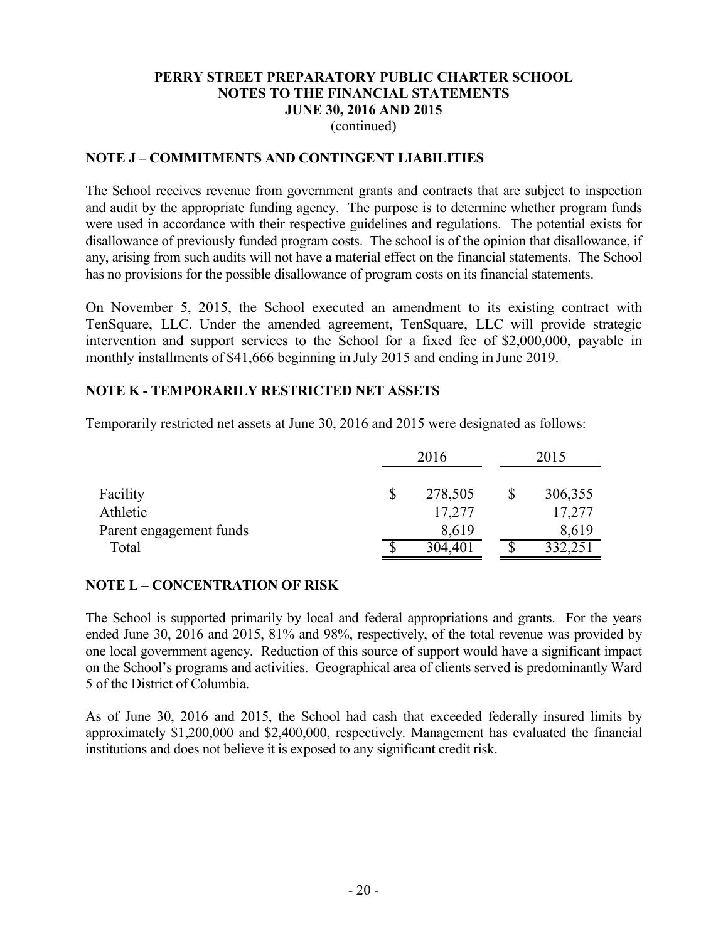(continued)

#### **NOTE J – COMMITMENTS AND CONTINGENT LIABILITIES**

The School receives revenue from government grants and contracts that are subject to inspection and audit by the appropriate funding agency. The purpose is to determine whether program funds were used in accordance with their respective guidelines and regulations. The potential exists for disallowance of previously funded program costs. The school is of the opinion that disallowance, if any, arising from such audits will not have a material effect on the financial statements. The School has no provisions for the possible disallowance of program costs on its financial statements.

On November 5, 2015, the School executed an amendment to its existing contract with TenSquare, LLC. Under the amended agreement, TenSquare, LLC will provide strategic intervention and support services to the School for a fixed fee of \$2,000,000, payable in monthly installments of \$41,666 beginning in July 2015 and ending in June 2019.

#### **NOTE K - TEMPORARILY RESTRICTED NET ASSETS**

Temporarily restricted net assets at June 30, 2016 and 2015 were designated as follows:

| 2016                    |    |         | 2015 |         |
|-------------------------|----|---------|------|---------|
| Facility                |    | 278,505 |      | 306,355 |
| Athletic                |    | 17,277  |      | 17,277  |
| Parent engagement funds |    | 8,619   |      | 8,619   |
| Total                   | \$ | 304,401 |      | 332,251 |

#### **NOTE L – CONCENTRATION OF RISK**

The School is supported primarily by local and federal appropriations and grants. For the years ended June 30, 2016 and 2015, 81% and 98%, respectively, of the total revenue was provided by one local government agency. Reduction of this source of support would have a significant impact on the School's programs and activities. Geographical area of clients served is predominantly Ward 5 of the District of Columbia.

As of June 30, 2016 and 2015, the School had cash that exceeded federally insured limits by approximately \$1,200,000 and \$2,400,000, respectively. Management has evaluated the financial institutions and does not believe it is exposed to any significant credit risk.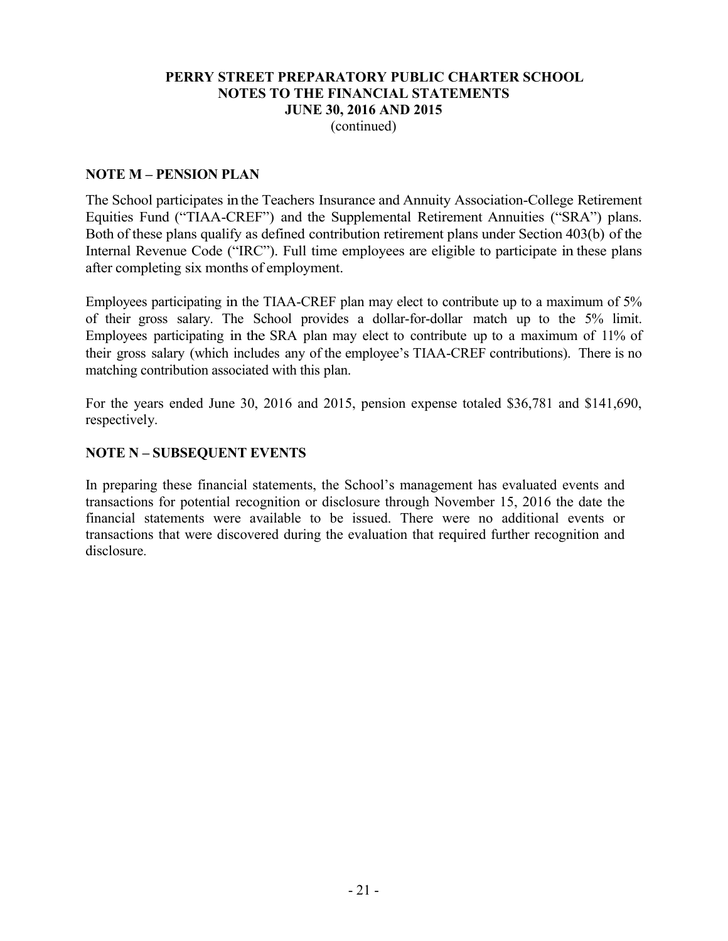(continued)

### **NOTE M – PENSION PLAN**

The School participates in the Teachers Insurance and Annuity Association-College Retirement Equities Fund ("TIAA-CREF") and the Supplemental Retirement Annuities ("SRA") plans. Both of these plans qualify as defined contribution retirement plans under Section 403(b) of the Internal Revenue Code ("IRC"). Full time employees are eligible to participate in these plans after completing six months of employment.

Employees participating in the TIAA-CREF plan may elect to contribute up to a maximum of 5% of their gross salary. The School provides a dollar-for-dollar match up to the 5% limit. Employees participating in the SRA plan may elect to contribute up to a maximum of 11% of their gross salary (which includes any of the employee's TIAA-CREF contributions). There is no matching contribution associated with this plan.

For the years ended June 30, 2016 and 2015, pension expense totaled \$36,781 and \$141,690, respectively.

### **NOTE N – SUBSEQUENT EVENTS**

In preparing these financial statements, the School's management has evaluated events and transactions for potential recognition or disclosure through November 15, 2016 the date the financial statements were available to be issued. There were no additional events or transactions that were discovered during the evaluation that required further recognition and disclosure.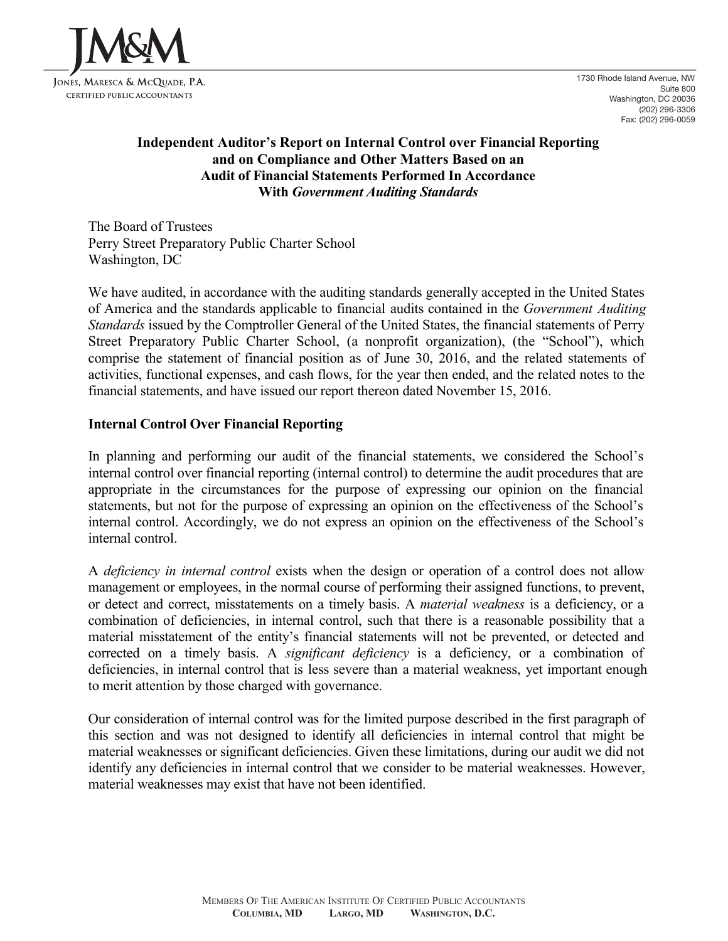

1730 Rhode Island Avenue, NW Suite 800 Washington, DC 20036 (202) 296-3306 Fax: (202) 296-0059

### **Independent Auditor's Report on Internal Control over Financial Reporting and on Compliance and Other Matters Based on an Audit of Financial Statements Performed In Accordance With** *Government Auditing Standards*

The Board of Trustees Perry Street Preparatory Public Charter School Washington, DC

We have audited, in accordance with the auditing standards generally accepted in the United States of America and the standards applicable to financial audits contained in the *Government Auditing Standards* issued by the Comptroller General of the United States, the financial statements of Perry Street Preparatory Public Charter School, (a nonprofit organization), (the "School"), which comprise the statement of financial position as of June 30, 2016, and the related statements of activities, functional expenses, and cash flows, for the year then ended, and the related notes to the financial statements, and have issued our report thereon dated November 15, 2016.

### **Internal Control Over Financial Reporting**

In planning and performing our audit of the financial statements, we considered the School's internal control over financial reporting (internal control) to determine the audit procedures that are appropriate in the circumstances for the purpose of expressing our opinion on the financial statements, but not for the purpose of expressing an opinion on the effectiveness of the School's internal control. Accordingly, we do not express an opinion on the effectiveness of the School's internal control.

A *deficiency in internal control* exists when the design or operation of a control does not allow management or employees, in the normal course of performing their assigned functions, to prevent, or detect and correct, misstatements on a timely basis. A *material weakness* is a deficiency, or a combination of deficiencies, in internal control, such that there is a reasonable possibility that a material misstatement of the entity's financial statements will not be prevented, or detected and corrected on a timely basis. A *significant deficiency* is a deficiency, or a combination of deficiencies, in internal control that is less severe than a material weakness, yet important enough to merit attention by those charged with governance.

Our consideration of internal control was for the limited purpose described in the first paragraph of this section and was not designed to identify all deficiencies in internal control that might be material weaknesses or significant deficiencies. Given these limitations, during our audit we did not identify any deficiencies in internal control that we consider to be material weaknesses. However, material weaknesses may exist that have not been identified.